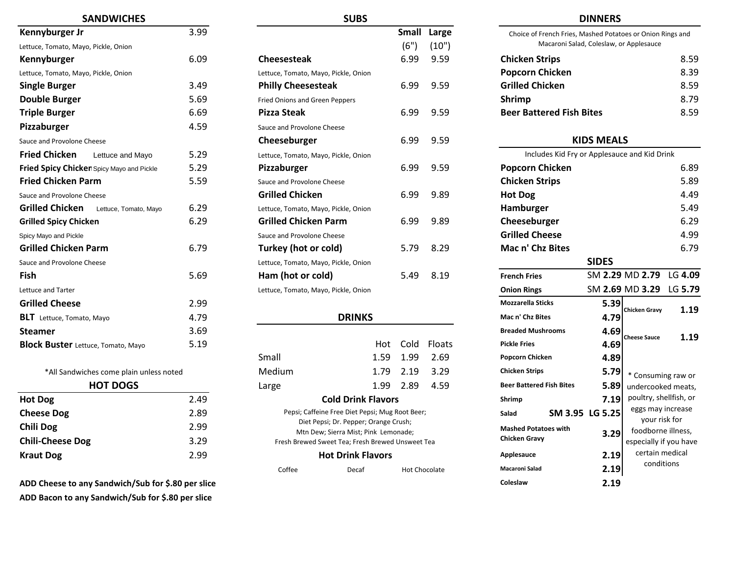| <b>SANDWICHES</b>                               |      | <b>SUBS</b>                           |      |             |                                      | <b>DINNERS</b>              |
|-------------------------------------------------|------|---------------------------------------|------|-------------|--------------------------------------|-----------------------------|
| Kennyburger Jr                                  | 3.99 |                                       |      | Small Large | Choice of French Fries, Mashed Potat |                             |
| Lettuce, Tomato, Mayo, Pickle, Onion            |      |                                       | (6") | (10")       |                                      | Macaroni Salad, Coleslaw, o |
| Kennyburger                                     | 6.09 | <b>Cheesesteak</b>                    | 6.99 | 9.59        | <b>Chicken Strips</b>                |                             |
| Lettuce, Tomato, Mayo, Pickle, Onion            |      | Lettuce, Tomato, Mayo, Pickle, Onion  |      |             | <b>Popcorn Chicken</b>               |                             |
| <b>Single Burger</b>                            | 3.49 | <b>Philly Cheesesteak</b>             | 6.99 | 9.59        | <b>Grilled Chicken</b>               |                             |
| <b>Double Burger</b>                            | 5.69 | <b>Fried Onions and Green Peppers</b> |      |             | <b>Shrimp</b>                        |                             |
| <b>Triple Burger</b>                            | 6.69 | <b>Pizza Steak</b>                    | 6.99 | 9.59        | <b>Beer Battered Fish Bites</b>      |                             |
| Pizzaburger                                     | 4.59 | Sauce and Provolone Cheese            |      |             |                                      |                             |
| Sauce and Provolone Cheese                      |      | Cheeseburger                          | 6.99 | 9.59        |                                      | <b>KIDS MEAI</b>            |
| <b>Fried Chicken</b><br>Lettuce and Mayo        | 5.29 | Lettuce, Tomato, Mayo, Pickle, Onion  |      |             | Includes Kid Fry or Applesau         |                             |
| Fried Spicy Chicken Spicy Mayo and Pickle       | 5.29 | Pizzaburger                           | 6.99 | 9.59        | <b>Popcorn Chicken</b>               |                             |
| <b>Fried Chicken Parm</b>                       | 5.59 | Sauce and Provolone Cheese            |      |             | <b>Chicken Strips</b>                |                             |
| Sauce and Provolone Cheese                      |      | <b>Grilled Chicken</b>                | 6.99 | 9.89        | <b>Hot Dog</b>                       |                             |
| <b>Grilled Chicken</b><br>Lettuce, Tomato, Mayo | 6.29 | Lettuce, Tomato, Mayo, Pickle, Onion  |      |             | Hamburger                            |                             |
| <b>Grilled Spicy Chicken</b>                    | 6.29 | <b>Grilled Chicken Parm</b>           | 6.99 | 9.89        | Cheeseburger                         |                             |
| Spicy Mayo and Pickle                           |      | Sauce and Provolone Cheese            |      |             | <b>Grilled Cheese</b>                |                             |
| <b>Grilled Chicken Parm</b>                     | 6.79 | <b>Turkey (hot or cold)</b>           | 5.79 | 8.29        | Mac n' Chz Bites                     |                             |
| Sauce and Provolone Cheese                      |      | Lettuce, Tomato, Mayo, Pickle, Onion  |      |             |                                      | <b>SIDES</b>                |
| Fish                                            | 5.69 | Ham (hot or cold)                     | 5.49 | 8.19        | <b>French Fries</b>                  | SM 2.29                     |
| Lettuce and Tarter                              |      | Lettuce, Tomato, Mayo, Pickle, Onion  |      |             | <b>Onion Rings</b>                   | SM 2.69                     |
| <b>Grilled Cheese</b>                           | 2.99 |                                       |      |             | <b>Mozzarella Sticks</b>             | 5.39                        |
| <b>BLT</b> Lettuce, Tomato, Mayo                | 4.79 | <b>DRINKS</b>                         |      |             | Mac n' Chz Bites                     | 4.79                        |
| <b>Steamer</b>                                  | 3.69 |                                       |      |             | <b>Breaded Mushrooms</b>             | 4.69                        |
| <b>Block Buster</b> Lettuce, Tomato, Mayo       | 5.19 | Hot                                   | Cold | Floats      | <b>Pickle Fries</b>                  | 4.69                        |

| <b>HOT DOGS</b>         |      |
|-------------------------|------|
| <b>Hot Dog</b>          | 2.49 |
| <b>Cheese Dog</b>       | 2.89 |
| <b>Chili Dog</b>        | 2.99 |
| <b>Chili-Cheese Dog</b> | 3.29 |
| <b>Kraut Dog</b>        | 2.99 |

**ADD Cheese to any Sandwich/Sub for \$.80 per slice 2.19 ADD Bacon to any Sandwich/Sub for \$.80 per slice**

| <b>SANDWICHES</b>                         |      | <b>SUBS</b>                          |       |       |                                                            | <b>DINNERS</b>                               |         |
|-------------------------------------------|------|--------------------------------------|-------|-------|------------------------------------------------------------|----------------------------------------------|---------|
| Kennyburger Jr                            | 3.99 |                                      | Small | Large | Choice of French Fries, Mashed Potatoes or Onion Rings and |                                              |         |
| Lettuce, Tomato, Mayo, Pickle, Onion      |      |                                      | (6")  | (10") |                                                            | Macaroni Salad, Coleslaw, or Applesauce      |         |
| Kennyburger                               | 6.09 | <b>Cheesesteak</b>                   | 6.99  | 9.59  | <b>Chicken Strips</b>                                      |                                              | 8.59    |
| Lettuce, Tomato, Mayo, Pickle, Onion      |      | Lettuce, Tomato, Mayo, Pickle, Onion |       |       | <b>Popcorn Chicken</b>                                     |                                              | 8.39    |
| <b>Single Burger</b>                      | 3.49 | <b>Philly Cheesesteak</b>            | 6.99  | 9.59  | <b>Grilled Chicken</b>                                     |                                              | 8.59    |
| <b>Double Burger</b>                      | 5.69 | Fried Onions and Green Peppers       |       |       | <b>Shrimp</b>                                              |                                              | 8.79    |
| <b>Triple Burger</b>                      | 6.69 | <b>Pizza Steak</b>                   | 6.99  | 9.59  | <b>Beer Battered Fish Bites</b>                            |                                              | 8.59    |
| Pizzaburger                               | 4.59 | Sauce and Provolone Cheese           |       |       |                                                            |                                              |         |
| Sauce and Provolone Cheese                |      | Cheeseburger                         | 6.99  | 9.59  |                                                            | <b>KIDS MEALS</b>                            |         |
| <b>Fried Chicken</b><br>Lettuce and Mayo  | 5.29 | Lettuce, Tomato, Mayo, Pickle, Onion |       |       |                                                            | Includes Kid Fry or Applesauce and Kid Drink |         |
| Fried Spicy Chicken Spicy Mayo and Pickle | 5.29 | Pizzaburger                          | 6.99  | 9.59  | <b>Popcorn Chicken</b>                                     |                                              | 6.89    |
| <b>Fried Chicken Parm</b>                 | 5.59 | Sauce and Provolone Cheese           |       |       | <b>Chicken Strips</b>                                      |                                              | 5.89    |
| Sauce and Provolone Cheese                |      | <b>Grilled Chicken</b>               | 6.99  | 9.89  | <b>Hot Dog</b>                                             |                                              | 4.49    |
| Grilled Chicken<br>Lettuce, Tomato, Mayo  | 6.29 | Lettuce, Tomato, Mayo, Pickle, Onion |       |       | Hamburger                                                  |                                              | 5.49    |
| <b>Grilled Spicy Chicken</b>              | 6.29 | <b>Grilled Chicken Parm</b>          | 6.99  | 9.89  | Cheeseburger                                               |                                              | 6.29    |
| Spicy Mayo and Pickle                     |      | Sauce and Provolone Cheese           |       |       | <b>Grilled Cheese</b>                                      |                                              | 4.99    |
| <b>Grilled Chicken Parm</b>               | 6.79 | Turkey (hot or cold)                 | 5.79  | 8.29  | Mac n' Chz Bites                                           |                                              | 6.79    |
| Sauce and Provolone Cheese                |      | Lettuce, Tomato, Mayo, Pickle, Onion |       |       |                                                            | <b>SIDES</b>                                 |         |
| Fish                                      | 5.69 | Ham (hot or cold)                    | 5.49  | 8.19  | <b>French Fries</b>                                        | SM 2.29 MD 2.79                              | LG 4.09 |
| Lettuce and Tarter                        |      | Lettuce, Tomato, Mayo, Pickle, Onion |       |       | <b>Onion Rings</b>                                         | SM 2.69 MD 3.29                              | LG 5.79 |
| Cailled Chappe                            | הה ר |                                      |       |       | Mossorollo Cticke                                          | r oo                                         |         |

### **DRINKS**

| steamer                                   | כס.כ |        |                                                 |      |               | DI CAUCU IVIUSIII UUIIIS        |                 | 4.09 |
|-------------------------------------------|------|--------|-------------------------------------------------|------|---------------|---------------------------------|-----------------|------|
| <b>Block Buster</b> Lettuce, Tomato, Mayo | 5.19 |        | Hot                                             | Cold | <b>Floats</b> | <b>Pickle Fries</b>             |                 | 4.69 |
|                                           |      | Small  | 1.59                                            | 1.99 | 2.69          | <b>Popcorn Chicken</b>          |                 | 4.89 |
| *All Sandwiches come plain unless noted   |      | Medium | 1.79                                            | 2.19 | 3.29          | <b>Chicken Strips</b>           |                 | 5.79 |
| <b>HOT DOGS</b>                           |      | Large  | 1.99                                            | 2.89 | 4.59          | <b>Beer Battered Fish Bites</b> |                 | 5.89 |
| Hot Dog                                   | 2.49 |        | <b>Cold Drink Flavors</b>                       |      |               | Shrimp                          |                 | 7.19 |
| <b>Cheese Dog</b>                         | 2.89 |        | Pepsi; Caffeine Free Diet Pepsi; Mug Root Beer; |      |               | Salad                           | SM 3.95 LG 5.25 |      |
|                                           |      |        | Dist Beneit De Bennem Omnes Cours               |      |               |                                 |                 |      |

| <b>Chicken Strips</b>           | 8.59 |
|---------------------------------|------|
| <b>Popcorn Chicken</b>          | 8.39 |
| <b>Grilled Chicken</b>          | 8.59 |
| <b>Shrimp</b>                   | 8.79 |
| <b>Beer Battered Fish Bites</b> | 8.59 |

### **KIDS MEALS**

| 5.29     | Lettuce, Tomato, Mayo, Pickle, Onion |                                                                                          |      |                      | Includes Kid Fry or Applesauce and Kid Drink |                 |                                     |         |
|----------|--------------------------------------|------------------------------------------------------------------------------------------|------|----------------------|----------------------------------------------|-----------------|-------------------------------------|---------|
| 5.29     | Pizzaburger                          |                                                                                          | 6.99 | 9.59                 | <b>Popcorn Chicken</b>                       |                 | 6.89                                |         |
| 5.59     | Sauce and Provolone Cheese           |                                                                                          |      |                      | <b>Chicken Strips</b>                        |                 |                                     | 5.89    |
|          | <b>Grilled Chicken</b>               |                                                                                          | 6.99 | 9.89                 | <b>Hot Dog</b>                               |                 |                                     | 4.49    |
| 6.29     | Lettuce, Tomato, Mayo, Pickle, Onion |                                                                                          |      |                      | Hamburger                                    |                 |                                     | 5.49    |
| 6.29     | <b>Grilled Chicken Parm</b>          |                                                                                          | 6.99 | 9.89                 | Cheeseburger                                 |                 |                                     | 6.29    |
|          | Sauce and Provolone Cheese           |                                                                                          |      |                      | <b>Grilled Cheese</b>                        |                 |                                     | 4.99    |
| 6.79     | Turkey (hot or cold)                 |                                                                                          | 5.79 | 8.29                 | Mac n' Chz Bites                             |                 |                                     | 6.79    |
|          | Lettuce, Tomato, Mayo, Pickle, Onion |                                                                                          |      |                      |                                              | <b>SIDES</b>    |                                     |         |
| 5.69     | Ham (hot or cold)                    |                                                                                          | 5.49 | 8.19                 | <b>French Fries</b>                          |                 | SM 2.29 MD 2.79                     | LG 4.09 |
|          | Lettuce, Tomato, Mayo, Pickle, Onion |                                                                                          |      |                      | <b>Onion Rings</b>                           |                 | SM 2.69 MD 3.29                     | LG 5.79 |
| 2.99     |                                      |                                                                                          |      |                      | <b>Mozzarella Sticks</b>                     | 5.39            |                                     |         |
| 4.79     |                                      | <b>DRINKS</b>                                                                            |      |                      | Mac n' Chz Bites                             | 4.79            | <b>Chicken Gravy</b>                | 1.19    |
| 3.69     |                                      |                                                                                          |      |                      | <b>Breaded Mushrooms</b>                     | 4.69            |                                     |         |
| 5.19     |                                      | Hot                                                                                      | Cold | Floats               | <b>Pickle Fries</b>                          | 4.69            | <b>Cheese Sauce</b>                 | 1.19    |
|          | Small                                | 1.59                                                                                     | 1.99 | 2.69                 | Popcorn Chicken                              | 4.89            |                                     |         |
|          | Medium                               | 1.79                                                                                     | 2.19 | 3.29                 | <b>Chicken Strips</b>                        | 5.79            | * Consuming raw or                  |         |
|          | Large                                | 1.99                                                                                     | 2.89 | 4.59                 | <b>Beer Battered Fish Bites</b>              | 5.89            | undercooked meats,                  |         |
| 2.49     |                                      | <b>Cold Drink Flavors</b>                                                                |      |                      | Shrimp                                       | 7.19            | poultry, shellfish, or              |         |
| 2.89     |                                      | Pepsi; Caffeine Free Diet Pepsi; Mug Root Beer;                                          |      |                      | Salad                                        | SM 3.95 LG 5.25 | eggs may increase                   |         |
| 2.99     |                                      | Diet Pepsi; Dr. Pepper; Orange Crush;                                                    |      |                      | <b>Mashed Potatoes with</b>                  |                 | your risk for<br>foodborne illness, |         |
| 3.29     |                                      | Mtn Dew; Sierra Mist; Pink Lemonade;<br>Fresh Brewed Sweet Tea; Fresh Brewed Unsweet Tea |      |                      | <b>Chicken Gravy</b>                         | 3.29            | especially if you have              |         |
| 2.99     |                                      | <b>Hot Drink Flavors</b>                                                                 |      |                      | Applesauce                                   | 2.19            | certain medical                     |         |
|          | Coffee                               | Decaf                                                                                    |      | <b>Hot Chocolate</b> | <b>Macaroni Salad</b>                        | 2.19            | conditions                          |         |
| er slice |                                      |                                                                                          |      |                      | Coleslaw                                     | 2.19            |                                     |         |